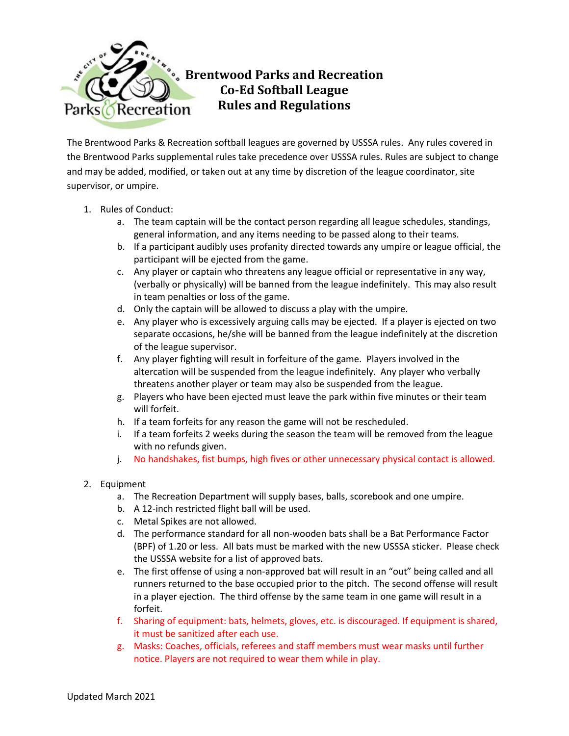

The Brentwood Parks & Recreation softball leagues are governed by USSSA rules. Any rules covered in the Brentwood Parks supplemental rules take precedence over USSSA rules. Rules are subject to change and may be added, modified, or taken out at any time by discretion of the league coordinator, site supervisor, or umpire.

- 1. Rules of Conduct:
	- a. The team captain will be the contact person regarding all league schedules, standings, general information, and any items needing to be passed along to their teams.
	- b. If a participant audibly uses profanity directed towards any umpire or league official, the participant will be ejected from the game.
	- c. Any player or captain who threatens any league official or representative in any way, (verbally or physically) will be banned from the league indefinitely. This may also result in team penalties or loss of the game.
	- d. Only the captain will be allowed to discuss a play with the umpire.
	- e. Any player who is excessively arguing calls may be ejected. If a player is ejected on two separate occasions, he/she will be banned from the league indefinitely at the discretion of the league supervisor.
	- f. Any player fighting will result in forfeiture of the game. Players involved in the altercation will be suspended from the league indefinitely. Any player who verbally threatens another player or team may also be suspended from the league.
	- g. Players who have been ejected must leave the park within five minutes or their team will forfeit.
	- h. If a team forfeits for any reason the game will not be rescheduled.
	- i. If a team forfeits 2 weeks during the season the team will be removed from the league with no refunds given.
	- j. No handshakes, fist bumps, high fives or other unnecessary physical contact is allowed.

## 2. Equipment

- a. The Recreation Department will supply bases, balls, scorebook and one umpire.
- b. A 12-inch restricted flight ball will be used.
- c. Metal Spikes are not allowed.
- d. The performance standard for all non-wooden bats shall be a Bat Performance Factor (BPF) of 1.20 or less.All bats must be marked with the new USSSA sticker. Please check the USSSA website for a list of approved bats.
- e. The first offense of using a non-approved bat will result in an "out" being called and all runners returned to the base occupied prior to the pitch. The second offense will result in a player ejection. The third offense by the same team in one game will result in a forfeit.
- f. Sharing of equipment: bats, helmets, gloves, etc. is discouraged. If equipment is shared, it must be sanitized after each use.
- g. Masks: Coaches, officials, referees and staff members must wear masks until further notice. Players are not required to wear them while in play.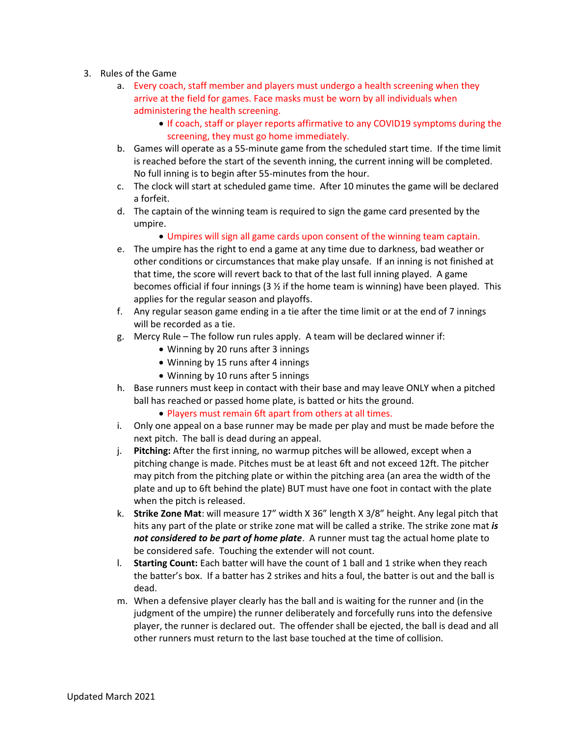- 3. Rules of the Game
	- a. Every coach, staff member and players must undergo a health screening when they arrive at the field for games. Face masks must be worn by all individuals when administering the health screening.
		- If coach, staff or player reports affirmative to any COVID19 symptoms during the screening, they must go home immediately.
	- b. Games will operate as a 55-minute game from the scheduled start time. If the time limit is reached before the start of the seventh inning, the current inning will be completed. No full inning is to begin after 55-minutes from the hour.
	- c. The clock will start at scheduled game time. After 10 minutes the game will be declared a forfeit.
	- d. The captain of the winning team is required to sign the game card presented by the umpire.
		- Umpires will sign all game cards upon consent of the winning team captain.
	- e. The umpire has the right to end a game at any time due to darkness, bad weather or other conditions or circumstances that make play unsafe. If an inning is not finished at that time, the score will revert back to that of the last full inning played. A game becomes official if four innings ( $3 \frac{1}{2}$  if the home team is winning) have been played. This applies for the regular season and playoffs.
	- f. Any regular season game ending in a tie after the time limit or at the end of 7 innings will be recorded as a tie.
	- g. Mercy Rule The follow run rules apply. A team will be declared winner if:
		- Winning by 20 runs after 3 innings
		- Winning by 15 runs after 4 innings
		- Winning by 10 runs after 5 innings
	- h. Base runners must keep in contact with their base and may leave ONLY when a pitched ball has reached or passed home plate, is batted or hits the ground.
		- Players must remain 6ft apart from others at all times.
	- i. Only one appeal on a base runner may be made per play and must be made before the next pitch. The ball is dead during an appeal.
	- j. **Pitching:** After the first inning, no warmup pitches will be allowed, except when a pitching change is made. Pitches must be at least 6ft and not exceed 12ft. The pitcher may pitch from the pitching plate or within the pitching area (an area the width of the plate and up to 6ft behind the plate) BUT must have one foot in contact with the plate when the pitch is released.
	- k. **Strike Zone Mat**: will measure 17" width X 36" length X 3/8" height. Any legal pitch that hits any part of the plate or strike zone mat will be called a strike. The strike zone mat *is not considered to be part of home plate*. A runner must tag the actual home plate to be considered safe. Touching the extender will not count.
	- l. **Starting Count:** Each batter will have the count of 1 ball and 1 strike when they reach the batter's box. If a batter has 2 strikes and hits a foul, the batter is out and the ball is dead.
	- m. When a defensive player clearly has the ball and is waiting for the runner and (in the judgment of the umpire) the runner deliberately and forcefully runs into the defensive player, the runner is declared out. The offender shall be ejected, the ball is dead and all other runners must return to the last base touched at the time of collision.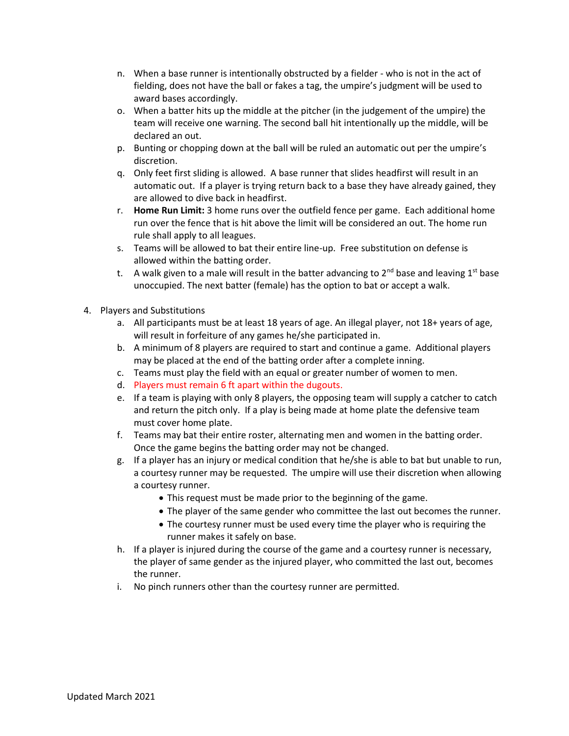- n. When a base runner is intentionally obstructed by a fielder who is not in the act of fielding, does not have the ball or fakes a tag, the umpire's judgment will be used to award bases accordingly.
- o. When a batter hits up the middle at the pitcher (in the judgement of the umpire) the team will receive one warning. The second ball hit intentionally up the middle, will be declared an out.
- p. Bunting or chopping down at the ball will be ruled an automatic out per the umpire's discretion.
- q. Only feet first sliding is allowed. A base runner that slides headfirst will result in an automatic out. If a player is trying return back to a base they have already gained, they are allowed to dive back in headfirst.
- r. **Home Run Limit:** 3 home runs over the outfield fence per game. Each additional home run over the fence that is hit above the limit will be considered an out. The home run rule shall apply to all leagues.
- s. Teams will be allowed to bat their entire line-up. Free substitution on defense is allowed within the batting order.
- t. A walk given to a male will result in the batter advancing to  $2<sup>nd</sup>$  base and leaving 1<sup>st</sup> base unoccupied. The next batter (female) has the option to bat or accept a walk.
- 4. Players and Substitutions
	- a. All participants must be at least 18 years of age. An illegal player, not 18+ years of age, will result in forfeiture of any games he/she participated in.
	- b. A minimum of 8 players are required to start and continue a game. Additional players may be placed at the end of the batting order after a complete inning.
	- c. Teams must play the field with an equal or greater number of women to men.
	- d. Players must remain 6 ft apart within the dugouts.
	- e. If a team is playing with only 8 players, the opposing team will supply a catcher to catch and return the pitch only. If a play is being made at home plate the defensive team must cover home plate.
	- f. Teams may bat their entire roster, alternating men and women in the batting order. Once the game begins the batting order may not be changed.
	- g. If a player has an injury or medical condition that he/she is able to bat but unable to run, a courtesy runner may be requested. The umpire will use their discretion when allowing a courtesy runner.
		- This request must be made prior to the beginning of the game.
		- The player of the same gender who committee the last out becomes the runner.
		- The courtesy runner must be used every time the player who is requiring the runner makes it safely on base.
	- h. If a player is injured during the course of the game and a courtesy runner is necessary, the player of same gender as the injured player, who committed the last out, becomes the runner.
	- i. No pinch runners other than the courtesy runner are permitted.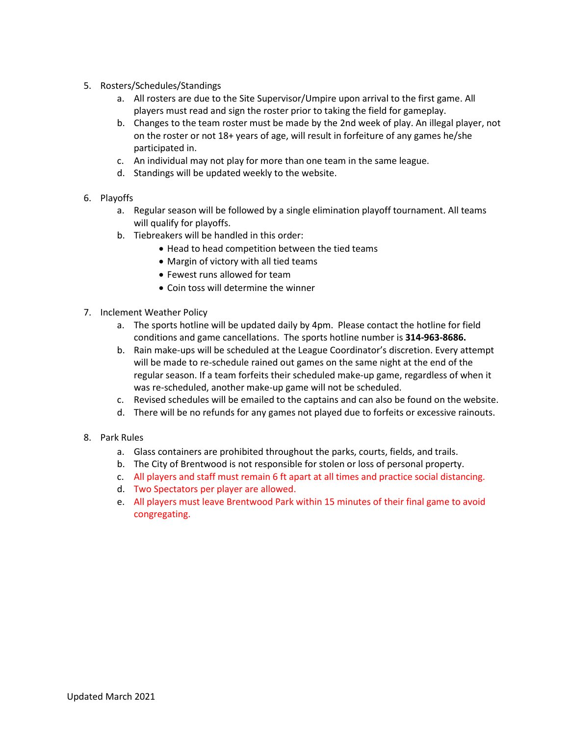- 5. Rosters/Schedules/Standings
	- a. All rosters are due to the Site Supervisor/Umpire upon arrival to the first game. All players must read and sign the roster prior to taking the field for gameplay.
	- b. Changes to the team roster must be made by the 2nd week of play. An illegal player, not on the roster or not 18+ years of age, will result in forfeiture of any games he/she participated in.
	- c. An individual may not play for more than one team in the same league.
	- d. Standings will be updated weekly to the website.
- 6. Playoffs
	- a. Regular season will be followed by a single elimination playoff tournament. All teams will qualify for playoffs.
	- b. Tiebreakers will be handled in this order:
		- Head to head competition between the tied teams
		- Margin of victory with all tied teams
		- Fewest runs allowed for team
		- Coin toss will determine the winner
- 7. Inclement Weather Policy
	- a. The sports hotline will be updated daily by 4pm. Please contact the hotline for field conditions and game cancellations. The sports hotline number is **314-963-8686.**
	- b. Rain make-ups will be scheduled at the League Coordinator's discretion. Every attempt will be made to re-schedule rained out games on the same night at the end of the regular season. If a team forfeits their scheduled make-up game, regardless of when it was re-scheduled, another make-up game will not be scheduled.
	- c. Revised schedules will be emailed to the captains and can also be found on the website.
	- d. There will be no refunds for any games not played due to forfeits or excessive rainouts.
- 8. Park Rules
	- a. Glass containers are prohibited throughout the parks, courts, fields, and trails.
	- b. The City of Brentwood is not responsible for stolen or loss of personal property.
	- c. All players and staff must remain 6 ft apart at all times and practice social distancing.
	- d. Two Spectators per player are allowed.
	- e. All players must leave Brentwood Park within 15 minutes of their final game to avoid congregating.